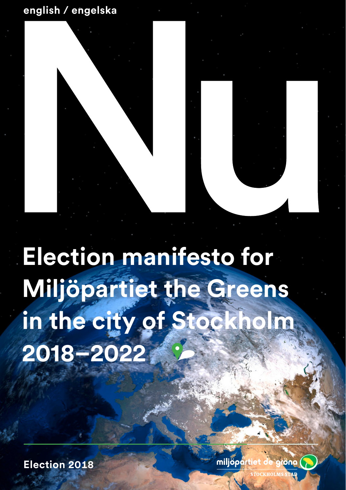# **english / engelska**



**Election manifesto for Miljöpartiet the Greens in the city of Stockholm 2018–2022**

**Election 2018**

miljöpa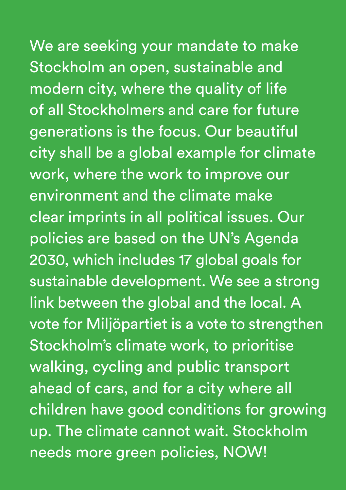We are seeking your mandate to make Stockholm an open, sustainable and modern city, where the quality of life of all Stockholmers and care for future generations is the focus. Our beautiful city shall be a global example for climate work, where the work to improve our environment and the climate make clear imprints in all political issues. Our policies are based on the UN's Agenda 2030, which includes 17 global goals for sustainable development. We see a strong link between the global and the local. A vote for Miljöpartiet is a vote to strengthen Stockholm's climate work, to prioritise walking, cycling and public transport ahead of cars, and for a city where all children have good conditions for growing up. The climate cannot wait. Stockholm needs more green policies, NOW!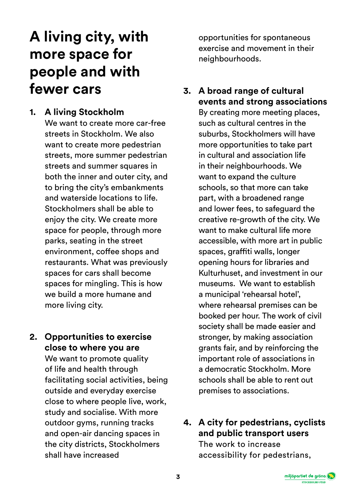# **A living city, with more space for people and with fewer cars**

#### **1. A living Stockholm**

We want to create more car-free streets in Stockholm. We also want to create more pedestrian streets, more summer pedestrian streets and summer squares in both the inner and outer city, and to bring the city's embankments and waterside locations to life. Stockholmers shall be able to enjoy the city. We create more space for people, through more parks, seating in the street environment, coffee shops and restaurants. What was previously spaces for cars shall become spaces for mingling. This is how we build a more humane and more living city.

#### **2. Opportunities to exercise close to where you are**

We want to promote quality of life and health through facilitating social activities, being outside and everyday exercise close to where people live, work, study and socialise. With more outdoor gyms, running tracks and open-air dancing spaces in the city districts, Stockholmers shall have increased

opportunities for spontaneous exercise and movement in their neighbourhoods.

**3. A broad range of cultural events and strong associations**

By creating more meeting places, such as cultural centres in the suburbs, Stockholmers will have more opportunities to take part in cultural and association life in their neighbourhoods. We want to expand the culture schools, so that more can take part, with a broadened range and lower fees, to safeguard the creative re-growth of the city. We want to make cultural life more accessible, with more art in public spaces, graffiti walls, longer opening hours for libraries and Kulturhuset, and investment in our museums. We want to establish a municipal 'rehearsal hotel', where rehearsal premises can be booked per hour. The work of civil society shall be made easier and stronger, by making association grants fair, and by reinforcing the important role of associations in a democratic Stockholm. More schools shall be able to rent out premises to associations.

**4. A city for pedestrians, cyclists and public transport users**  The work to increase accessibility for pedestrians,

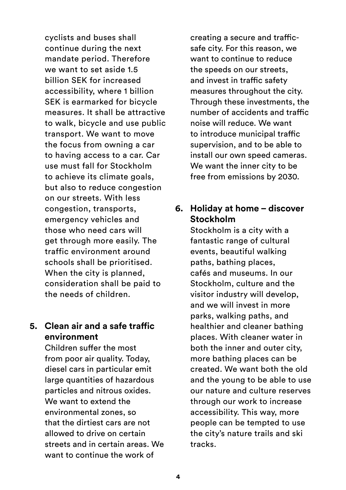cyclists and buses shall continue during the next mandate period. Therefore we want to set aside 1.5 billion SEK for increased accessibility, where 1 billion SEK is earmarked for bicycle measures. It shall be attractive to walk, bicycle and use public transport. We want to move the focus from owning a car to having access to a car. Car use must fall for Stockholm to achieve its climate goals, but also to reduce congestion on our streets. With less congestion, transports, emergency vehicles and those who need cars will get through more easily. The traffic environment around schools shall be prioritised. When the city is planned, consideration shall be paid to the needs of children.

### **5. Clean air and a safe traffic environment**

Children suffer the most from poor air quality. Today, diesel cars in particular emit large quantities of hazardous particles and nitrous oxides. We want to extend the environmental zones, so that the dirtiest cars are not allowed to drive on certain streets and in certain areas. We want to continue the work of

creating a secure and trafficsafe city. For this reason, we want to continue to reduce the speeds on our streets, and invest in traffic safety measures throughout the city. Through these investments, the number of accidents and traffic noise will reduce. We want to introduce municipal traffic supervision, and to be able to install our own speed cameras. We want the inner city to be free from emissions by 2030.

### **6. Holiday at home – discover Stockholm**

Stockholm is a city with a fantastic range of cultural events, beautiful walking paths, bathing places, cafés and museums. In our Stockholm, culture and the visitor industry will develop, and we will invest in more parks, walking paths, and healthier and cleaner bathing places. With cleaner water in both the inner and outer city, more bathing places can be created. We want both the old and the young to be able to use our nature and culture reserves through our work to increase accessibility. This way, more people can be tempted to use the city's nature trails and ski tracks.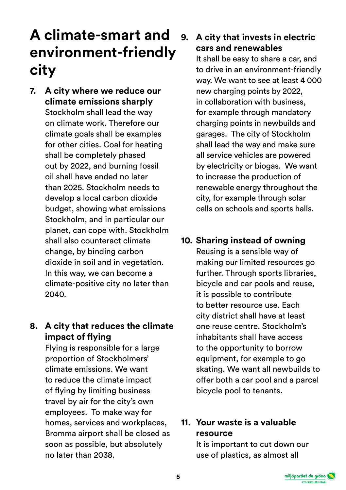# **A climate-smart and environment-friendly city**

**7. A city where we reduce our climate emissions sharply** Stockholm shall lead the way on climate work. Therefore our climate goals shall be examples for other cities. Coal for heating shall be completely phased out by 2022, and burning fossil oil shall have ended no later than 2025. Stockholm needs to develop a local carbon dioxide budget, showing what emissions Stockholm, and in particular our planet, can cope with. Stockholm shall also counteract climate change, by binding carbon dioxide in soil and in vegetation. In this way, we can become a climate-positive city no later than 2040.

# **8. A city that reduces the climate impact of flying**

Flying is responsible for a large proportion of Stockholmers' climate emissions. We want to reduce the climate impact of flying by limiting business travel by air for the city's own employees. To make way for homes, services and workplaces, Bromma airport shall be closed as soon as possible, but absolutely no later than 2038.

# **9. A city that invests in electric cars and renewables**

It shall be easy to share a car, and to drive in an environment-friendly way. We want to see at least 4 000 new charging points by 2022, in collaboration with business, for example through mandatory charging points in newbuilds and garages. The city of Stockholm shall lead the way and make sure all service vehicles are powered by electricity or biogas. We want to increase the production of renewable energy throughout the city, for example through solar cells on schools and sports halls.

**10. Sharing instead of owning** Reusing is a sensible way of making our limited resources go further. Through sports libraries, bicycle and car pools and reuse, it is possible to contribute to better resource use. Each city district shall have at least one reuse centre. Stockholm's inhabitants shall have access to the opportunity to borrow equipment, for example to go skating. We want all newbuilds to offer both a car pool and a parcel bicycle pool to tenants.

## **11. Your waste is a valuable resource**

It is important to cut down our use of plastics, as almost all

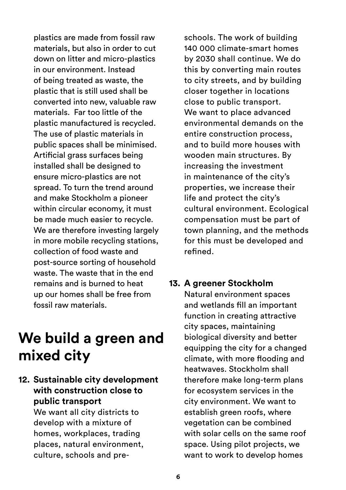plastics are made from fossil raw materials, but also in order to cut down on litter and micro-plastics in our environment. Instead of being treated as waste, the plastic that is still used shall be converted into new, valuable raw materials. Far too little of the plastic manufactured is recycled. The use of plastic materials in public spaces shall be minimised. Artificial grass surfaces being installed shall be designed to ensure micro-plastics are not spread. To turn the trend around and make Stockholm a pioneer within circular economy, it must be made much easier to recycle. We are therefore investing largely in more mobile recycling stations, collection of food waste and post-source sorting of household waste. The waste that in the end remains and is burned to heat up our homes shall be free from fossil raw materials.

# **We build a green and mixed city**

### **12. Sustainable city development with construction close to public transport**

We want all city districts to develop with a mixture of homes, workplaces, trading places, natural environment, culture, schools and pre-

schools. The work of building 140 000 climate-smart homes by 2030 shall continue. We do this by converting main routes to city streets, and by building closer together in locations close to public transport. We want to place advanced environmental demands on the entire construction process, and to build more houses with wooden main structures. By increasing the investment in maintenance of the city's properties, we increase their life and protect the city's cultural environment. Ecological compensation must be part of town planning, and the methods for this must be developed and refined.

# **13. A greener Stockholm**

Natural environment spaces and wetlands fill an important function in creating attractive city spaces, maintaining biological diversity and better equipping the city for a changed climate, with more flooding and heatwaves. Stockholm shall therefore make long-term plans for ecosystem services in the city environment. We want to establish green roofs, where vegetation can be combined with solar cells on the same roof space. Using pilot projects, we want to work to develop homes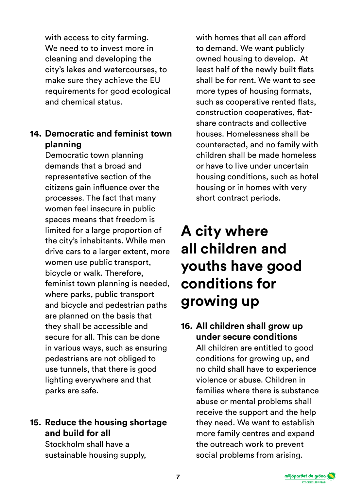with access to city farming. We need to to invest more in cleaning and developing the city's lakes and watercourses, to make sure they achieve the EU requirements for good ecological and chemical status.

# **14. Democratic and feminist town planning**

Democratic town planning demands that a broad and representative section of the citizens gain influence over the processes. The fact that many women feel insecure in public spaces means that freedom is limited for a large proportion of the city's inhabitants. While men drive cars to a larger extent, more women use public transport, bicycle or walk. Therefore, feminist town planning is needed, where parks, public transport and bicycle and pedestrian paths are planned on the basis that they shall be accessible and secure for all. This can be done in various ways, such as ensuring pedestrians are not obliged to use tunnels, that there is good lighting everywhere and that parks are safe.

# **15. Reduce the housing shortage and build for all**

Stockholm shall have a sustainable housing supply, with homes that all can afford to demand. We want publicly owned housing to develop. At least half of the newly built flats shall be for rent. We want to see more types of housing formats, such as cooperative rented flats, construction cooperatives, flatshare contracts and collective houses. Homelessness shall be counteracted, and no family with children shall be made homeless or have to live under uncertain housing conditions, such as hotel housing or in homes with very short contract periods.

# **A city where all children and youths have good conditions for growing up**

# **16. All children shall grow up under secure conditions**

All children are entitled to good conditions for growing up, and no child shall have to experience violence or abuse. Children in families where there is substance abuse or mental problems shall receive the support and the help they need. We want to establish more family centres and expand the outreach work to prevent social problems from arising.

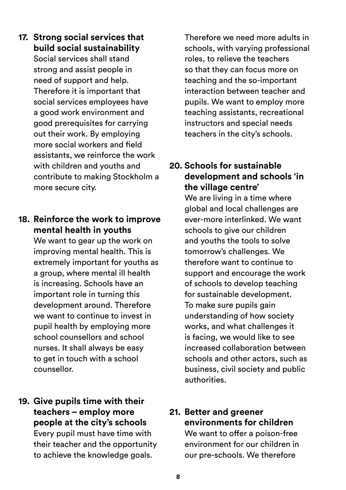**17. Strong social services that build social sustainability** Social services shall stand strong and assist people in need of support and help. Therefore it is important that social services employees have a good work environment and good prerequisites for carrying out their work. By employing more social workers and field assistants, we reinforce the work with children and youths and contribute to making Stockholm a more secure city.

#### **18. Reinforce the work to improve mental health in youths**

We want to gear up the work on improving mental health. This is extremely important for youths as a group, where mental ill health is increasing. Schools have an important role in turning this development around. Therefore we want to continue to invest in pupil health by employing more school counsellors and school nurses. It shall always be easy to get in touch with a school counsellor.

**19. Give pupils time with their teachers – employ more people at the city's schools** Every pupil must have time with their teacher and the opportunity to achieve the knowledge goals.

Therefore we need more adults in schools, with varying professional roles, to relieve the teachers so that they can focus more on teaching and the so-important interaction between teacher and pupils. We want to employ more teaching assistants, recreational instructors and special needs teachers in the city's schools.

## **20. Schools for sustainable development and schools 'in the village centre'**

We are living in a time where global and local challenges are ever-more interlinked. We want schools to give our children and youths the tools to solve tomorrow's challenges. We therefore want to continue to support and encourage the work of schools to develop teaching for sustainable development. To make sure pupils gain understanding of how society works, and what challenges it is facing, we would like to see increased collaboration between schools and other actors, such as business, civil society and public authorities.

# **21. Better and greener environments for children**

We want to offer a poison-free environment for our children in our pre-schools. We therefore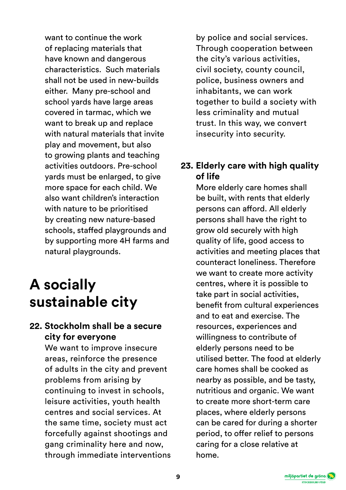want to continue the work of replacing materials that have known and dangerous characteristics. Such materials shall not be used in new-builds either. Many pre-school and school vards have large areas covered in tarmac, which we want to break up and replace with natural materials that invite play and movement, but also to growing plants and teaching activities outdoors. Pre-school yards must be enlarged, to give more space for each child. We also want children's interaction with nature to be prioritised by creating new nature-based schools, staffed playgrounds and by supporting more 4H farms and natural playgrounds.

# **A socially sustainable city**

### **22. Stockholm shall be a secure city for everyone**

We want to improve insecure areas, reinforce the presence of adults in the city and prevent problems from arising by continuing to invest in schools, leisure activities, youth health centres and social services. At the same time, society must act forcefully against shootings and gang criminality here and now, through immediate interventions by police and social services. Through cooperation between the city's various activities, civil society, county council, police, business owners and inhabitants, we can work together to build a society with less criminality and mutual trust. In this way, we convert insecurity into security.

## **23. Elderly care with high quality of life**

More elderly care homes shall be built, with rents that elderly persons can afford. All elderly persons shall have the right to grow old securely with high quality of life, good access to activities and meeting places that counteract loneliness. Therefore we want to create more activity centres, where it is possible to take part in social activities, benefit from cultural experiences and to eat and exercise. The resources, experiences and willingness to contribute of elderly persons need to be utilised better. The food at elderly care homes shall be cooked as nearby as possible, and be tasty, nutritious and organic. We want to create more short-term care places, where elderly persons can be cared for during a shorter period, to offer relief to persons caring for a close relative at home.

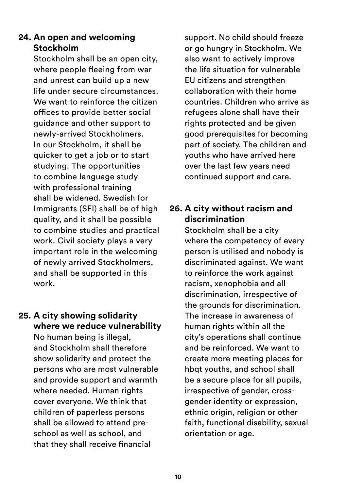# **24. An open and welcoming Stockholm**

Stockholm shall be an open city, where people fleeing from war and unrest can build up a new life under secure circumstances. We want to reinforce the citizen offices to provide better social guidance and other support to newly-arrived Stockholmers. In our Stockholm, it shall be quicker to get a job or to start studying. The opportunities to combine language study with professional training shall be widened. Swedish for Immigrants (SFI) shall be of high quality, and it shall be possible to combine studies and practical work. Civil society plays a very important role in the welcoming of newly arrived Stockholmers, and shall be supported in this work.

### **25. A city showing solidarity where we reduce vulnerability** No human being is illegal, and Stockholm shall therefore show solidarity and protect the persons who are most vulnerable and provide support and warmth where needed. Human rights cover everyone. We think that children of paperless persons shall be allowed to attend preschool as well as school, and that they shall receive financial

support. No child should freeze or go hungry in Stockholm. We also want to actively improve the life situation for vulnerable EU citizens and strengthen collaboration with their home countries. Children who arrive as refugees alone shall have their rights protected and be given good prerequisites for becoming part of society. The children and youths who have arrived here over the last few years need continued support and care.

# **26. A city without racism and discrimination**

Stockholm shall be a city where the competency of every person is utilised and nobody is discriminated against. We want to reinforce the work against racism, xenophobia and all discrimination, irrespective of the grounds for discrimination. The increase in awareness of human rights within all the city's operations shall continue and be reinforced. We want to create more meeting places for hbqt youths, and school shall be a secure place for all pupils, irrespective of gender, crossgender identity or expression, ethnic origin, religion or other faith, functional disability, sexual orientation or age.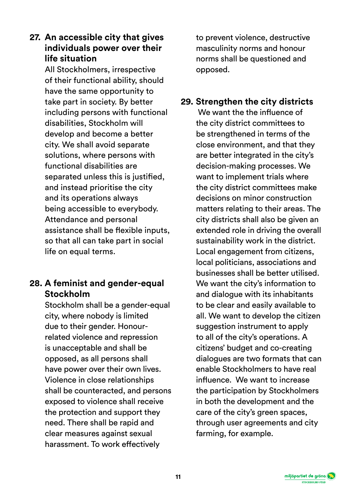### **27. An accessible city that gives individuals power over their life situation**

All Stockholmers, irrespective of their functional ability, should have the same opportunity to take part in society. By better including persons with functional disabilities, Stockholm will develop and become a better city. We shall avoid separate solutions, where persons with functional disabilities are separated unless this is justified. and instead prioritise the city and its operations always being accessible to everybody. Attendance and personal assistance shall be flexible inputs, so that all can take part in social life on equal terms.

## **28. A feminist and gender-equal Stockholm**

Stockholm shall be a gender-equal city, where nobody is limited due to their gender. Honourrelated violence and repression is unacceptable and shall be opposed, as all persons shall have power over their own lives. Violence in close relationships shall be counteracted, and persons exposed to violence shall receive the protection and support they need. There shall be rapid and clear measures against sexual harassment. To work effectively

to prevent violence, destructive masculinity norms and honour norms shall be questioned and opposed.

# **29. Strengthen the city districts**

 We want the the influence of the city district committees to be strengthened in terms of the close environment, and that they are better integrated in the city's decision-making processes. We want to implement trials where the city district committees make decisions on minor construction matters relating to their areas. The city districts shall also be given an extended role in driving the overall sustainability work in the district. Local engagement from citizens, local politicians, associations and businesses shall be better utilised. We want the city's information to and dialogue with its inhabitants to be clear and easily available to all. We want to develop the citizen suggestion instrument to apply to all of the city's operations. A citizens' budget and co-creating dialogues are two formats that can enable Stockholmers to have real influence. We want to increase the participation by Stockholmers in both the development and the care of the city's green spaces, through user agreements and city farming, for example.